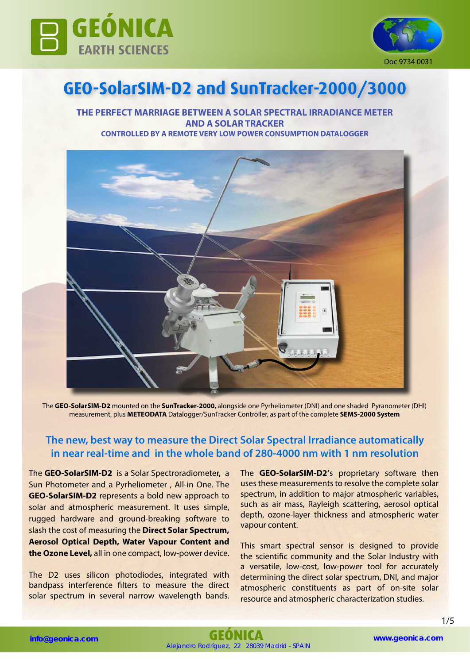



# **GEO-SolarSIM-D2 and SunTracker-2000/3000**

**THE PERFECT MARRIAGE BETWEEN A SOLAR SPECTRAL IRRADIANCE METER AND A SOLAR TRACKER CONTROLLED BY A REMOTE VERY LOW POWER CONSUMPTION DATALOGGER** 



The **GEO-SolarSIM-D2** mounted on the **SunTracker-2000**, alongside one Pyrheliometer (DNI) and one shaded Pyranometer (DHI) measurement, plus **METEODATA** Datalogger/SunTracker Controller, as part of the complete **SEMS-2000 System**

## **The new, best way to measure the Direct Solar Spectral Irradiance automatically in near real-time and in the whole band of 280-4000 nm with 1 nm resolution**

The **GEO-SolarSIM-D2** is a Solar Spectroradiometer, a Sun Photometer and a Pyrheliometer , All-in One. The **GEO-SolarSIM-D2** represents a bold new approach to solar and atmospheric measurement. It uses simple, rugged hardware and ground-breaking software to slash the cost of measuring the **Direct Solar Spectrum, Aerosol Optical Depth, Water Vapour Content and the Ozone Level,** all in one compact, low-power device.

The D2 uses silicon photodiodes, integrated with bandpass interference filters to measure the direct solar spectrum in several narrow wavelength bands. The **GEO-SolarSIM-D2'**s proprietary software then uses these measurements to resolve the complete solar spectrum, in addition to major atmospheric variables, such as air mass, Rayleigh scattering, aerosol optical depth, ozone-layer thickness and atmospheric water vapour content.

This smart spectral sensor is designed to provide the scientific community and the Solar Industry with a versatile, low-cost, low-power tool for accurately determining the direct solar spectrum, DNI, and major atmospheric constituents as part of on-site solar resource and atmospheric characterization studies.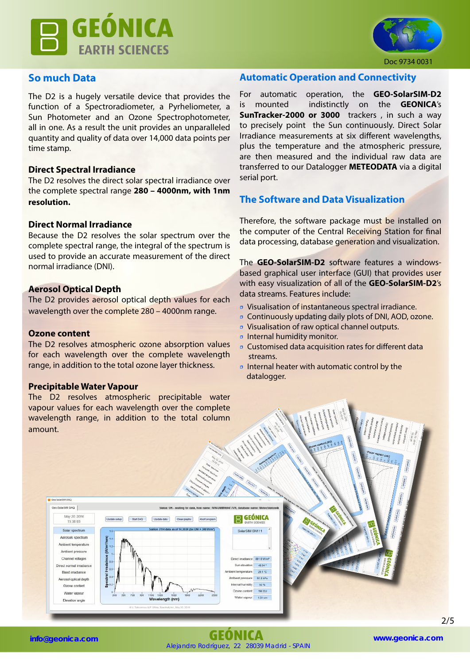



#### Doc 9734 0031

## **So much Data**

The D2 is a hugely versatile device that provides the function of a Spectroradiometer, a Pyrheliometer, a Sun Photometer and an Ozone Spectrophotometer, all in one. As a result the unit provides an unparalleled quantity and quality of data over 14,000 data points per time stamp.

#### **Direct Spectral Irradiance**

The D2 resolves the direct solar spectral irradiance over the complete spectral range **280 – 4000nm, with 1nm resolution.**

### **Direct Normal Irradiance**

Because the D2 resolves the solar spectrum over the complete spectral range, the integral of the spectrum is used to provide an accurate measurement of the direct normal irradiance (DNI).

#### **Aerosol Optical Depth**

The D2 provides aerosol optical depth values for each wavelength over the complete 280 – 4000nm range.

#### **Ozone content**

The D2 resolves atmospheric ozone absorption values for each wavelength over the complete wavelength range, in addition to the total ozone layer thickness.

#### **Precipitable Water Vapour**

The D2 resolves atmospheric precipitable water vapour values for each wavelength over the complete wavelength range, in addition to the total column amount.

### **Automatic Operation and Connectivity**

For automatic operation, the **GEO-SolarSIM-D2** is mounted indistinctly on the **GEONICA**'s **SunTracker-2000 or 3000** trackers , in such a way to precisely point the Sun continuously. Direct Solar Irradiance measurements at six different wavelengths, plus the temperature and the atmospheric pressure, are then measured and the individual raw data are transferred to our Datalogger **METEODATA** via a digital serial port.

## **The Software and Data Visualization**

Therefore, the software package must be installed on the computer of the Central Receiving Station for final data processing, database generation and visualization.

The **GEO-SolarSIM-D2** software features a windowsbased graphical user interface (GUI) that provides user with easy visualization of all of the **GEO-SolarSIM-D2**'s data streams. Features include:

- Visualisation of instantaneous spectral irradiance.
- Continuously updating daily plots of DNI, AOD, ozone.
- Visualisation of raw optical channel outputs.
- Internal humidity monitor.
- Customised data acquisition rates for different data streams.
- Internal heater with automatic control by the datalogger.



Alejandro Rodríguez, 22 28039 Madrid - SPAIN **info@geonica.com GEÓNICA www.geonica.com**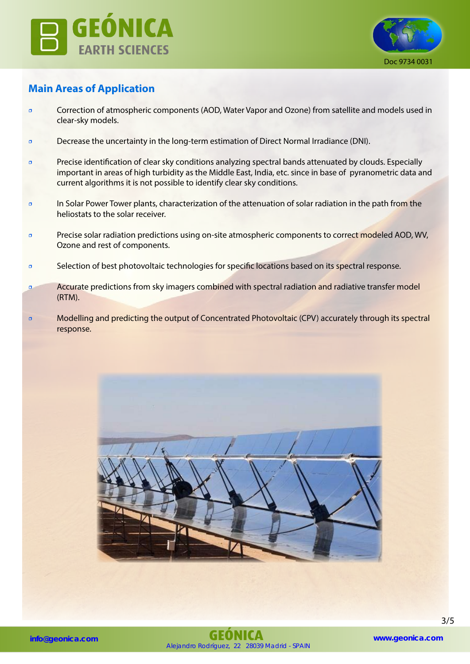



# **Main Areas of Application**

- Correction of atmospheric components (AOD, Water Vapor and Ozone) from satellite and models used in clear-sky models.
- Decrease the uncertainty in the long-term estimation of Direct Normal Irradiance (DNI).
- **Precise identification of clear sky conditions analyzing spectral bands attenuated by clouds. Especially** important in areas of high turbidity as the Middle East, India, etc. since in base of pyranometric data and current algorithms it is not possible to identify clear sky conditions.
- **In Solar Power Tower plants, characterization of the attenuation of solar radiation in the path from the** heliostats to the solar receiver.
- **Precise solar radiation predictions using on-site atmospheric components to correct modeled AOD, WV,** Ozone and rest of components.
- **•** Selection of best photovoltaic technologies for specific locations based on its spectral response.
- **Accurate predictions from sky imagers combined with spectral radiation and radiative transfer model** (RTM).
- Modelling and predicting the output of Concentrated Photovoltaic (CPV) accurately through its spectral response.

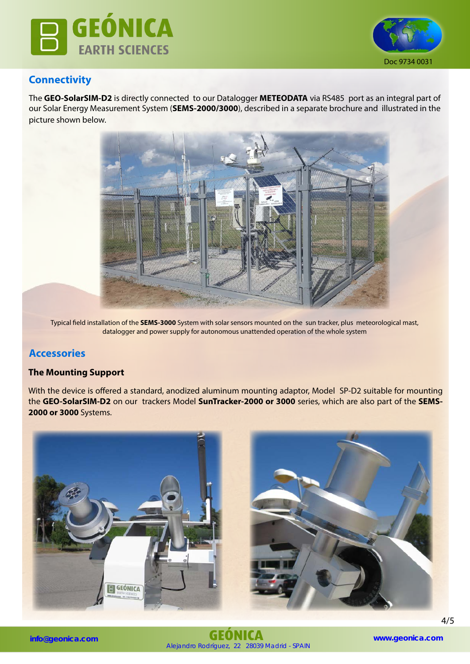



## **Connectivity**

The **GEO-SolarSIM-D2** is directly connected to our Datalogger **METEODATA** via RS485 port as an integral part of our Solar Energy Measurement System (**SEMS-2000/3000**), described in a separate brochure and illustrated in the picture shown below.



Typical field installation of the **SEMS-3000** System with solar sensors mounted on the sun tracker, plus meteorological mast, datalogger and power supply for autonomous unattended operation of the whole system

## **Accessories**

## **The Mounting Support**

With the device is offered a standard, anodized aluminum mounting adaptor, Model SP-D2 suitable for mounting the **GEO-SolarSIM-D2** on our trackers Model **SunTracker-2000 or 3000** series, which are also part of the **SEMS-2000 or 3000** Systems.